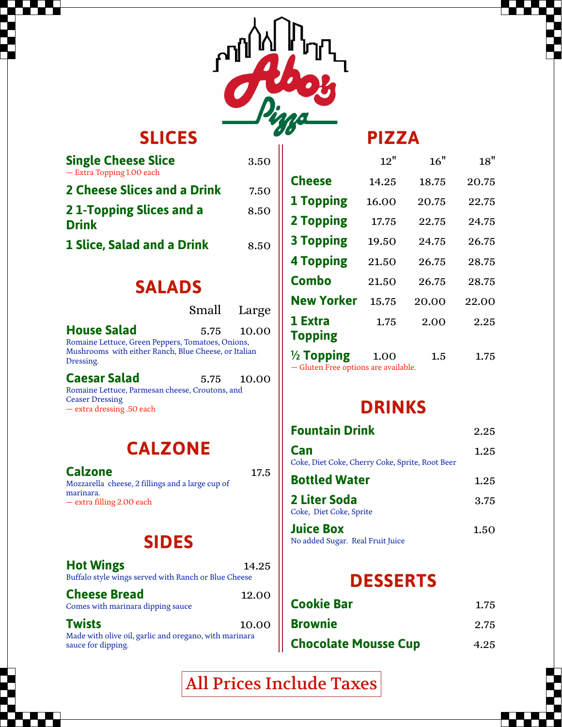

## **SLICES**

| <b>Single Cheese Slice</b><br>- Extra Topping 1.00 each | 3.50 |
|---------------------------------------------------------|------|
| 2 Cheese Slices and a Drink                             | 7.50 |
| 21-Topping Slices and a<br><b>Drink</b>                 | 8.50 |
| 1 Slice, Salad and a Drink                              | 8.50 |

### **SALADS**

|                                                                                                                        | Small Large |
|------------------------------------------------------------------------------------------------------------------------|-------------|
| <b>House Salad</b>                                                                                                     | 5.75 10.00  |
| Romaine Lettuce, Green Peppers, Tomatoes, Onions,<br>Mushrooms with either Ranch, Blue Cheese, or Italian<br>Dressing. |             |
| <b>Caesar Salad</b><br>Romaine Lettuce, Parmesan cheese, Croutons, and                                                 | 5.75 10.00  |

Ceaser Dressing — extra dressing .50 each

## **CALZONE**

**Calzone** 17.5 Mozzarella cheese, 2 fillings and a large cup of marinara. — extra filling 2.00 each

## **SIDES**

| <b>Hot Wings</b><br>Buffalo style wings served with Ranch or Blue Cheese                     | 14.25 |
|----------------------------------------------------------------------------------------------|-------|
| <b>Cheese Bread</b><br>Comes with marinara dipping sauce                                     | 12.00 |
| <b>Twists</b><br>And discussional section with a subject of a measure of state in continuous | 10.00 |

Made with olive oil, garlic and oregano, with marinara sauce for dipping.

|                       | 12"   | 16"   | 18"   |
|-----------------------|-------|-------|-------|
| <b>Cheese</b>         | 14.25 | 18.75 | 20.75 |
| <b>1 Topping</b>      | 16.00 | 20.75 | 22.75 |
| <b>2 Topping</b>      | 17.75 | 22.75 | 24.75 |
| <b>3 Topping</b>      | 19.50 | 24.75 | 26.75 |
| <b>4 Topping</b>      | 21.50 | 26.75 | 28.75 |
| Combo                 | 21.50 | 26.75 | 28.75 |
| <b>New Yorker</b>     | 15.75 | 20.00 | 22.00 |
| 1 Extra               | 1.75  | 2.00  | 2.25  |
| Topping               |       |       |       |
| $\frac{1}{2}$ Topping | 1.00  | 1.5   | 1.75  |

**PIZZA**

— Gluten Free options are available.

## **DRINKS**

| <b>Fountain Drink</b>                                  | 2.25 |
|--------------------------------------------------------|------|
| Can<br>Coke, Diet Coke, Cherry Coke, Sprite, Root Beer | 1.25 |
| <b>Bottled Water</b>                                   | 1.25 |
| 2 Liter Soda<br>Coke, Diet Coke, Sprite                | 3.75 |
| <b>Juice Box</b><br>No added Sugar. Real Fruit Juice   | 1.50 |

# **DESSERTS**

| <b>Cookie Bar</b>           | 1.75 |
|-----------------------------|------|
| <b>Brownie</b>              | 2.75 |
| <b>Chocolate Mousse Cup</b> | 4.25 |

All Prices Include Taxes